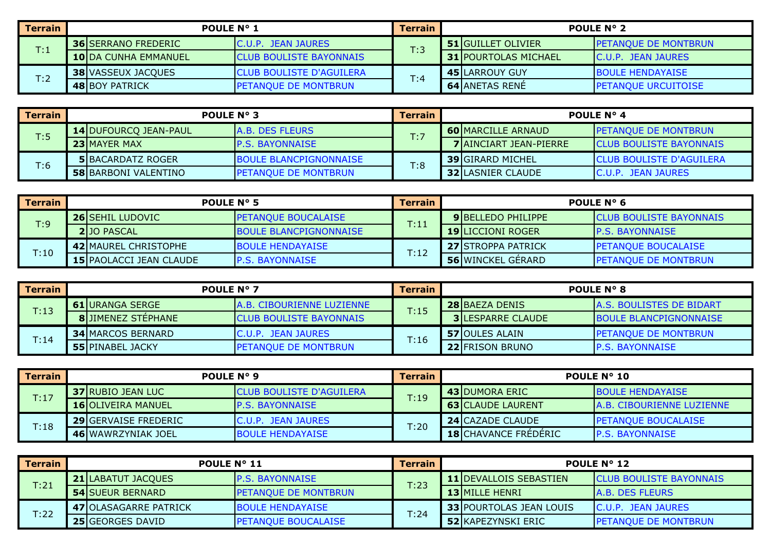| Terrain        | <b>POULE N° 1</b>          |                                 | <b>Terrain</b> | <b>POULE N° 2</b>           |                             |  |
|----------------|----------------------------|---------------------------------|----------------|-----------------------------|-----------------------------|--|
| $\mathsf{T}.1$ | <b>36 SERRANO FREDERIC</b> | <b>C.U.P. JEAN JAURES</b>       | T:3            | <b>51 GUILLET OLIVIER</b>   | <b>PETANQUE DE MONTBRUN</b> |  |
|                | 10 DA CUNHA EMMANUEL       | <b>CLUB BOULISTE BAYONNAIS</b>  |                | <b>31 POURTOLAS MICHAEL</b> | <b>C.U.P. JEAN JAURES</b>   |  |
|                | <b>38 VASSEUX JACOUES</b>  | <b>CLUB BOULISTE D'AGUILERA</b> |                | <b>45 LARROUY GUY</b>       | <b>BOULE HENDAYAISE</b>     |  |
| T:2            | <b>48 BOY PATRICK</b>      | <b>IPETANQUE DE MONTBRUN</b>    | T:4            | <b>64 ANETAS RENE</b>       | <b>PETANQUE URCUITOISE</b>  |  |

| Terrain | <b>POULE N° 3</b>            |                               | <b>Terrain</b> | <b>POULE N° 4</b>             |                                 |  |
|---------|------------------------------|-------------------------------|----------------|-------------------------------|---------------------------------|--|
| T:5     | <b>14 DUFOURCO JEAN-PAUL</b> | <b>IA.B. DES FLEURS</b>       | T:7            | <b>60 MARCILLE ARNAUD</b>     | <b>IPETANOUE DE MONTBRUN</b>    |  |
|         | <b>23IMAYER MAX</b>          | <b>IP.S. BAYONNAISE</b>       |                | <b>7 AINCIART JEAN-PIERRE</b> | <b>ICLUB BOULISTE BAYONNAIS</b> |  |
|         | <b>5IBACARDATZ ROGER</b>     | <b>BOULE BLANCPIGNONNAISE</b> |                | <b>39 GIRARD MICHEL</b>       | <b>CLUB BOULISTE D'AGUILERA</b> |  |
| T:6     | <b>58 BARBONI VALENTINO</b>  | <b>IPETANOUE DE MONTBRUN</b>  | T:8            | <b>32 LASNIER CLAUDE</b>      | C.U.P. JEAN JAURES              |  |

| <b>Terrain</b> | <b>POULE N° 5</b>              |                               | <b>Terrain</b> | POULE $N^{\circ}$ 6       |                                 |  |
|----------------|--------------------------------|-------------------------------|----------------|---------------------------|---------------------------------|--|
| T:9            | <b>26 SEHIL LUDOVIC</b>        | <b>PETANQUE BOUCALAISE</b>    | T:11           | <b>9IBELLEDO PHILIPPE</b> | <b>ICLUB BOULISTE BAYONNAIS</b> |  |
|                | <b>21JO PASCAL</b>             | <b>BOULE BLANCPIGNONNAISE</b> |                | <b>19 LICCIONI ROGER</b>  | <b>IP.S. BAYONNAISE</b>         |  |
|                | <b>42I MAUREL CHRISTOPHE</b>   | <b>BOULE HENDAYAISE</b>       | T:12           | <b>27ISTROPPA PATRICK</b> | <b>PETANQUE BOUCALAISE</b>      |  |
| T:10           | <b>15 PAOLACCI JEAN CLAUDE</b> | <b>IP.S. BAYONNAISE</b>       |                | <b>56 WINCKEL GERARD</b>  | <b>IPETANQUE DE MONTBRUN</b>    |  |

| <b>Terrain</b> | <b>POULE N° 7</b> |                           | Terrain                           | <b>POULE N° 8</b> |                          |                                  |
|----------------|-------------------|---------------------------|-----------------------------------|-------------------|--------------------------|----------------------------------|
| T:13           |                   | <b>61 JURANGA SERGE</b>   | <b>JA.B. CIBOURIENNE LUZIENNE</b> | T:15              | <b>28 BAEZA DENIS</b>    | <b>IA.S. BOULISTES DE BIDART</b> |
|                |                   | <b>8</b> JIMENEZ STEPHANE | <b>ICLUB BOULISTE BAYONNAIS</b>   |                   | <b>3ILESPARRE CLAUDE</b> | <b>IBOULE BLANCPIGNONNAISE</b>   |
|                |                   | <b>34 MARCOS BERNARD</b>  | C.U.P. JEAN JAURES                | T:16              | <b>57 JOULES ALAIN</b>   | <b>PETANQUE DE MONTBRUN</b>      |
| T:14           |                   | <b>55 PINABEL JACKY</b>   | <b>PETANQUE DE MONTBRUN</b>       |                   | <b>22 FRISON BRUNO</b>   | <b>P.S. BAYONNAISE</b>           |

| <b>Terrain</b> | POULE N° 9                  |                                 | Terrain | <b>POULE N° 10</b>          |                                  |  |
|----------------|-----------------------------|---------------------------------|---------|-----------------------------|----------------------------------|--|
| T:17           | <b>37 RUBIO JEAN LUC</b>    | <b>CLUB BOULISTE D'AGUILERA</b> | T:19    | <b>43 DUMORA ERIC</b>       | <b>IBOULE HENDAYAISE</b>         |  |
|                | <b>16 OLIVEIRA MANUEL</b>   | <b>IP.S. BAYONNAISE</b>         |         | <b>63 CLAUDE LAURENT</b>    | <b>A.B. CIBOURIENNE LUZIENNE</b> |  |
|                | <b>29 GERVAISE FREDERIC</b> | <b>IC.U.P. JEAN JAURES</b>      | T:20    | <b>24 CAZADE CLAUDE</b>     | <b>IPETANOUE BOUCALAISE</b>      |  |
| T:18           | 46 WAWRZYNIAK JOEL          | <b>BOULE HENDAYAISE</b>         |         | <b>18 CHAVANCE FREDERIC</b> | <b>IP.S. BAYONNAISE</b>          |  |

| <b>Terrain</b> | <b>POULE N° 11</b>           |                             | <b>Terrain</b> | <b>POULE N° 12</b>             |                                 |  |
|----------------|------------------------------|-----------------------------|----------------|--------------------------------|---------------------------------|--|
| T:21           | <b>21 LABATUT JACQUES</b>    | <b>IP.S. BAYONNAISE</b>     | T:23           | <b>11 IDEVALLOIS SEBASTIEN</b> | <b>ICLUB BOULISTE BAYONNAIS</b> |  |
|                | <b>54 SUEUR BERNARD</b>      | <b>PETANQUE DE MONTBRUN</b> |                | <b>13 MILLE HENRI</b>          | <b>A.B. DES FLEURS</b>          |  |
| T:22           | <b>47 OLASAGARRE PATRICK</b> | <b>BOULE HENDAYAISE</b>     |                | <b>33 POURTOLAS JEAN LOUIS</b> | <b>C.U.P. JEAN JAURES</b>       |  |
|                | <b>25 GEORGES DAVID</b>      | <b>PETANQUE BOUCALAISE</b>  | T:24           | <b>52 KAPEZYNSKI ERIC</b>      | <b>PETANQUE DE MONTBRUN</b>     |  |